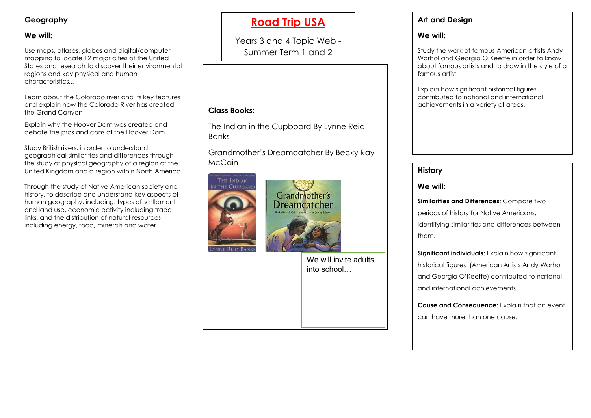### **Geography**

### **We will:**

Use maps, atlases, globes and digital/computer mapping to locate 12 major cities of the United States and research to discover their environmental regions and key physical and human characteristics...

Learn about the Colorado river and its key features and explain how the Colorado River has created the Grand Canyon

Explain why the Hoover Dam was created and debate the pros and cons of the Hoover Dam

Study British rivers, in order to understand geographical similarities and differences through the study of physical geography of a region of the United Kingdom and a region within North America.

Through the study of Native American society and history, to describe and understand key aspects of human geography, including: types of settlement and land use, economic activity including trade links, and the distribution of natural resources including energy, food, minerals and water.

# **Road Trip USA**

Years 3 and 4 Topic Web - Summer Term 1 and 2

# **Class Books**:

The Indian in the Cupboard By Lynne Reid Banks

Grandmother's Dreamcatcher By Becky Ray McCain





We will invite adults into school…

## **Art and Design**

### **We will:**

Study the work of famous American artists Andy Warhol and Georgia O'Keeffe in order to know about famous artists and to draw in the style of a famous artist.

Explain how significant historical figures contributed to national and international achievements in a variety of areas.

#### **History History**

#### **We will: We will:**

**Similarities and Differences**: Compare two identifying similarities and differences between identifying similarities and differences between **Similarities and Differences**: Compare two periods of history for Native Americans, them.

**Significant individuals**: Explain how significant historical figures (American Artists Andy Warhol and Georgia O'Keeffe) contributed to national and international achievements. **Significant individuals:** Explain how significant

can have more than one cause. **Cause and Consequence**: Explain that an event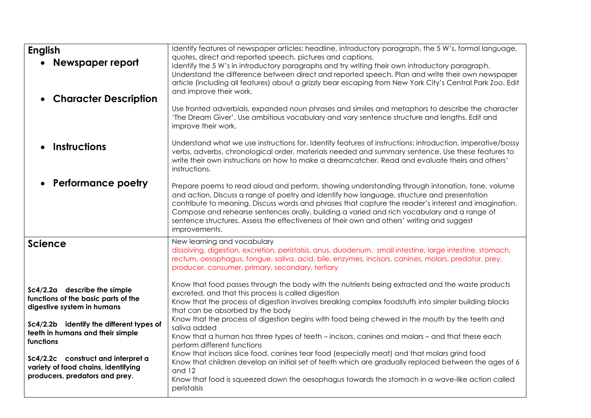| <b>English</b><br>Newspaper report<br><b>Character Description</b>                                                                                                                             | Identify features of newspaper articles: headline, introductory paragraph, the 5 W's, formal language,<br>quotes, direct and reported speech, pictures and captions.<br>Identify the 5 W's in introductory paragraphs and try writing their own introductory paragraph.<br>Understand the difference between direct and reported speech. Plan and write their own newspaper<br>article (including all features) about a grizzly bear escaping from New York City's Central Park Zoo. Edit<br>and improve their work.                                    |
|------------------------------------------------------------------------------------------------------------------------------------------------------------------------------------------------|---------------------------------------------------------------------------------------------------------------------------------------------------------------------------------------------------------------------------------------------------------------------------------------------------------------------------------------------------------------------------------------------------------------------------------------------------------------------------------------------------------------------------------------------------------|
|                                                                                                                                                                                                | Use fronted adverbials, expanded noun phrases and similes and metaphors to describe the character<br>'The Dream Giver'. Use ambitious vocabulary and vary sentence structure and lengths. Edit and<br>improve their work.                                                                                                                                                                                                                                                                                                                               |
| <b>Instructions</b>                                                                                                                                                                            | Understand what we use instructions for. Identify features of instructions: introduction, imperative/bossy<br>verbs, adverbs, chronological order, materials needed and summary sentence. Use these features to<br>write their own instructions on how to make a dreamcatcher. Read and evaluate theirs and others'<br>instructions.                                                                                                                                                                                                                    |
| <b>Performance poetry</b>                                                                                                                                                                      | Prepare poems to read aloud and perform, showing understanding through intonation, tone, volume<br>and action. Discuss a range of poetry and identify how language, structure and presentation<br>contribute to meaning. Discuss words and phrases that capture the reader's interest and imagination.<br>Compose and rehearse sentences orally, building a varied and rich vocabulary and a range of<br>sentence structures. Assess the effectiveness of their own and others' writing and suggest<br>improvements.                                    |
| <b>Science</b>                                                                                                                                                                                 | New learning and vocabulary<br>dissolving, digestion, excretion, peristalsis, anus, duodenum, small intestine, large intestine, stomach,<br>rectum, oesophagus, tongue, saliva, acid, bile, enzymes, incisors, canines, molars, predator, prey,<br>producer, consumer, primary, secondary, tertiary                                                                                                                                                                                                                                                     |
| Sc4/2.2a describe the simple<br>functions of the basic parts of the<br>digestive system in humans<br>Sc4/2.2b identify the different types of<br>teeth in humans and their simple<br>functions | Know that food passes through the body with the nutrients being extracted and the waste products<br>excreted, and that this process is called digestion<br>Know that the process of digestion involves breaking complex foodstuffs into simpler building blocks<br>that can be absorbed by the body<br>Know that the process of digestion begins with food being chewed in the mouth by the teeth and<br>saliva added<br>Know that a human has three types of teeth – incisors, canines and molars – and that these each<br>perform different functions |
| Sc4/2.2c construct and interpret a<br>variety of food chains, identifying<br>producers, predators and prey.                                                                                    | Know that incisors slice food, canines tear food (especially meat) and that molars grind food<br>Know that children develop an initial set of teeth which are gradually replaced between the ages of 6<br>and 12<br>Know that food is squeezed down the oesophagus towards the stomach in a wave-like action called<br>peristalsis                                                                                                                                                                                                                      |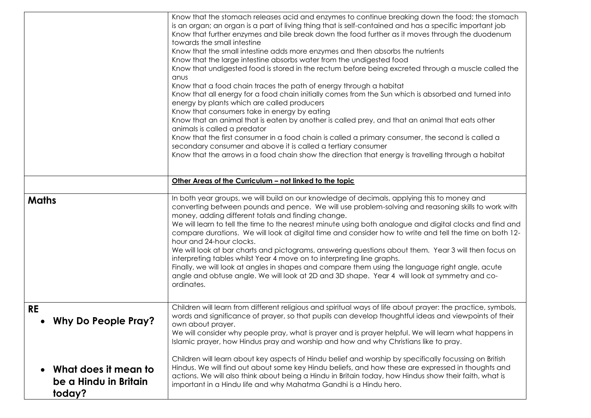|                                                         | Know that the stomach releases acid and enzymes to continue breaking down the food; the stomach<br>is an organ; an organ is a part of living thing that is self-contained and has a specific important job<br>Know that further enzymes and bile break down the food further as it moves through the duodenum<br>towards the small intestine<br>Know that the small intestine adds more enzymes and then absorbs the nutrients<br>Know that the large intestine absorbs water from the undigested food<br>Know that undigested food is stored in the rectum before being excreted through a muscle called the<br>anus<br>Know that a food chain traces the path of energy through a habitat<br>Know that all energy for a food chain initially comes from the Sun which is absorbed and turned into<br>energy by plants which are called producers<br>Know that consumers take in energy by eating<br>Know that an animal that is eaten by another is called prey, and that an animal that eats other<br>animals is called a predator<br>Know that the first consumer in a food chain is called a primary consumer, the second is called a<br>secondary consumer and above it is called a tertiary consumer<br>Know that the arrows in a food chain show the direction that energy is travelling through a habitat |
|---------------------------------------------------------|--------------------------------------------------------------------------------------------------------------------------------------------------------------------------------------------------------------------------------------------------------------------------------------------------------------------------------------------------------------------------------------------------------------------------------------------------------------------------------------------------------------------------------------------------------------------------------------------------------------------------------------------------------------------------------------------------------------------------------------------------------------------------------------------------------------------------------------------------------------------------------------------------------------------------------------------------------------------------------------------------------------------------------------------------------------------------------------------------------------------------------------------------------------------------------------------------------------------------------------------------------------------------------------------------------------------|
|                                                         | Other Areas of the Curriculum - not linked to the topic                                                                                                                                                                                                                                                                                                                                                                                                                                                                                                                                                                                                                                                                                                                                                                                                                                                                                                                                                                                                                                                                                                                                                                                                                                                            |
| <b>Maths</b>                                            | In both year groups, we will build on our knowledge of decimals, applying this to money and<br>converting between pounds and pence. We will use problem-solving and reasoning skills to work with<br>money, adding different totals and finding change.<br>We will learn to tell the time to the nearest minute using both analogue and digital clocks and find and<br>compare durations. We will look at digital time and consider how to write and tell the time on both 12-<br>hour and 24-hour clocks.<br>We will look at bar charts and pictograms, answering questions about them. Year 3 will then focus on<br>interpreting tables whilst Year 4 move on to interpreting line graphs.<br>Finally, we will look at angles in shapes and compare them using the language right angle, acute<br>angle and obtuse angle. We will look at 2D and 3D shape. Year 4 will look at symmetry and co-<br>ordinates.                                                                                                                                                                                                                                                                                                                                                                                                    |
| <b>RE</b><br><b>Why Do People Pray?</b>                 | Children will learn from different religious and spiritual ways of life about prayer: the practice, symbols,<br>words and significance of prayer, so that pupils can develop thoughtful ideas and viewpoints of their<br>own about praver.<br>We will consider why people pray, what is prayer and is prayer helpful. We will learn what happens in<br>Islamic prayer, how Hindus pray and worship and how and why Christians like to pray.                                                                                                                                                                                                                                                                                                                                                                                                                                                                                                                                                                                                                                                                                                                                                                                                                                                                        |
| What does it mean to<br>be a Hindu in Britain<br>today? | Children will learn about key aspects of Hindu belief and worship by specifically focussing on British<br>Hindus. We will find out about some key Hindu beliefs, and how these are expressed in thoughts and<br>actions. We will also think about being a Hindu in Britain today, how Hindus show their faith, what is<br>important in a Hindu life and why Mahatma Gandhi is a Hindu hero.                                                                                                                                                                                                                                                                                                                                                                                                                                                                                                                                                                                                                                                                                                                                                                                                                                                                                                                        |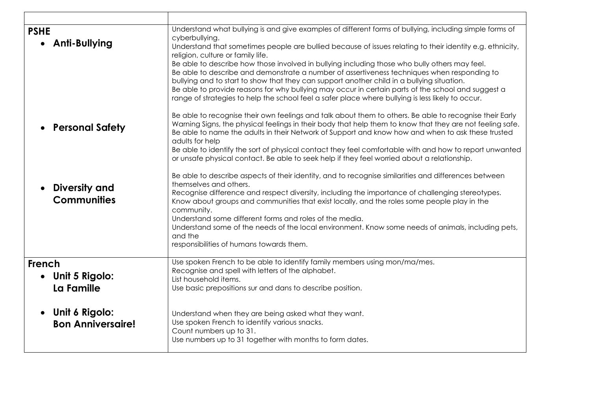| <b>PSHE</b><br>• Anti-Bullying                          | Understand what bullying is and give examples of different forms of bullying, including simple forms of<br>cyberbullying.<br>Understand that sometimes people are bullied because of issues relating to their identity e.g. ethnicity,<br>religion, culture or family life.<br>Be able to describe how those involved in bullying including those who bully others may feel.<br>Be able to describe and demonstrate a number of assertiveness techniques when responding to<br>bullying and to start to show that they can support another child in a bullying situation.<br>Be able to provide reasons for why bullying may occur in certain parts of the school and suggest a<br>range of strategies to help the school feel a safer place where bullying is less likely to occur. |
|---------------------------------------------------------|--------------------------------------------------------------------------------------------------------------------------------------------------------------------------------------------------------------------------------------------------------------------------------------------------------------------------------------------------------------------------------------------------------------------------------------------------------------------------------------------------------------------------------------------------------------------------------------------------------------------------------------------------------------------------------------------------------------------------------------------------------------------------------------|
| <b>Personal Safety</b>                                  | Be able to recognise their own feelings and talk about them to others. Be able to recognise their Early<br>Warning Signs, the physical feelings in their body that help them to know that they are not feeling safe.<br>Be able to name the adults in their Network of Support and know how and when to ask these trusted<br>adults for help<br>Be able to identify the sort of physical contact they feel comfortable with and how to report unwanted<br>or unsafe physical contact. Be able to seek help if they feel worried about a relationship.                                                                                                                                                                                                                                |
| <b>Diversity and</b><br><b>Communities</b>              | Be able to describe aspects of their identity, and to recognise similarities and differences between<br>themselves and others.<br>Recognise difference and respect diversity, including the importance of challenging stereotypes.<br>Know about groups and communities that exist locally, and the roles some people play in the<br>community.<br>Understand some different forms and roles of the media.<br>Understand some of the needs of the local environment. Know some needs of animals, including pets,<br>and the<br>responsibilities of humans towards them.                                                                                                                                                                                                              |
| French<br>Unit 5 Rigolo:<br>La Famille                  | Use spoken French to be able to identify family members using mon/ma/mes.<br>Recognise and spell with letters of the alphabet.<br>List household items.<br>Use basic prepositions sur and dans to describe position.                                                                                                                                                                                                                                                                                                                                                                                                                                                                                                                                                                 |
| Unit 6 Rigolo:<br>$\bullet$<br><b>Bon Anniversaire!</b> | Understand when they are being asked what they want.<br>Use spoken French to identify various snacks.<br>Count numbers up to 31.<br>Use numbers up to 31 together with months to form dates.                                                                                                                                                                                                                                                                                                                                                                                                                                                                                                                                                                                         |